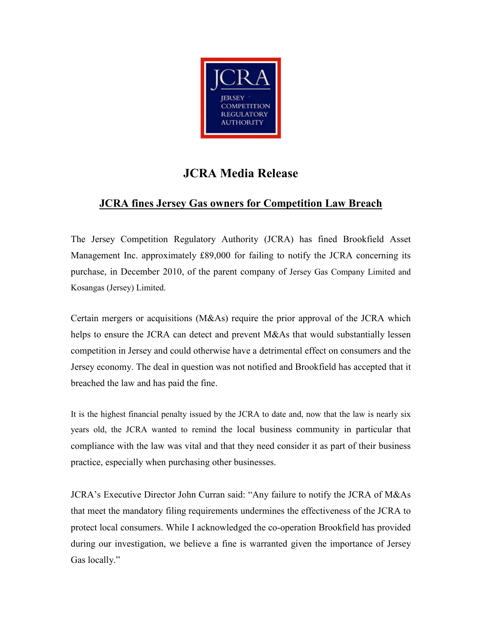

## JCRA Media Release

## JCRA fines Jersey Gas owners for Competition Law Breach

The Jersey Competition Regulatory Authority (JCRA) has fined Brookfield Asset Management Inc. approximately £89,000 for failing to notify the JCRA concerning its purchase, in December 2010, of the parent company of Jersey Gas Company Limited and Kosangas (Jersey) Limited.

Certain mergers or acquisitions (M&As) require the prior approval of the JCRA which helps to ensure the JCRA can detect and prevent M&As that would substantially lessen competition in Jersey and could otherwise have a detrimental effect on consumers and the Jersey economy. The deal in question was not notified and Brookfield has accepted that it breached the law and has paid the fine.

It is the highest financial penalty issued by the JCRA to date and, now that the law is nearly six years old, the JCRA wanted to remind the local business community in particular that compliance with the law was vital and that they need consider it as part of their business practice, especially when purchasing other businesses.

JCRA's Executive Director John Curran said: "Any failure to notify the JCRA of M&As that meet the mandatory filing requirements undermines the effectiveness of the JCRA to protect local consumers. While I acknowledged the co-operation Brookfield has provided during our investigation, we believe a fine is warranted given the importance of Jersey Gas locally."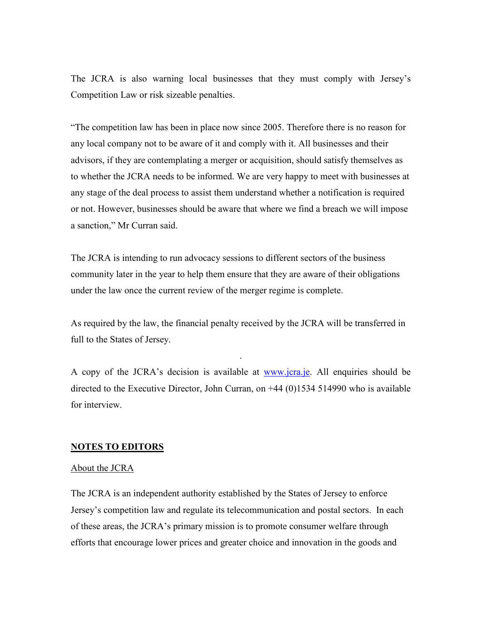The JCRA is also warning local businesses that they must comply with Jersey's Competition Law or risk sizeable penalties.

"The competition law has been in place now since 2005. Therefore there is no reason for any local company not to be aware of it and comply with it. All businesses and their advisors, if they are contemplating a merger or acquisition, should satisfy themselves as to whether the JCRA needs to be informed. We are very happy to meet with businesses at any stage of the deal process to assist them understand whether a notification is required or not. However, businesses should be aware that where we find a breach we will impose a sanction," Mr Curran said.

The JCRA is intending to run advocacy sessions to different sectors of the business community later in the year to help them ensure that they are aware of their obligations under the law once the current review of the merger regime is complete.

As required by the law, the financial penalty received by the JCRA will be transferred in full to the States of Jersey.

A copy of the JCRA's decision is available at <u>www.jcra.je</u>. All enquiries should be directed to the Executive Director, John Curran, on +44 (0)1534 514990 who is available for interview.

.

## NOTES TO EDITORS

## About the JCRA

The JCRA is an independent authority established by the States of Jersey to enforce Jersey's competition law and regulate its telecommunication and postal sectors. In each of these areas, the JCRA's primary mission is to promote consumer welfare through efforts that encourage lower prices and greater choice and innovation in the goods and